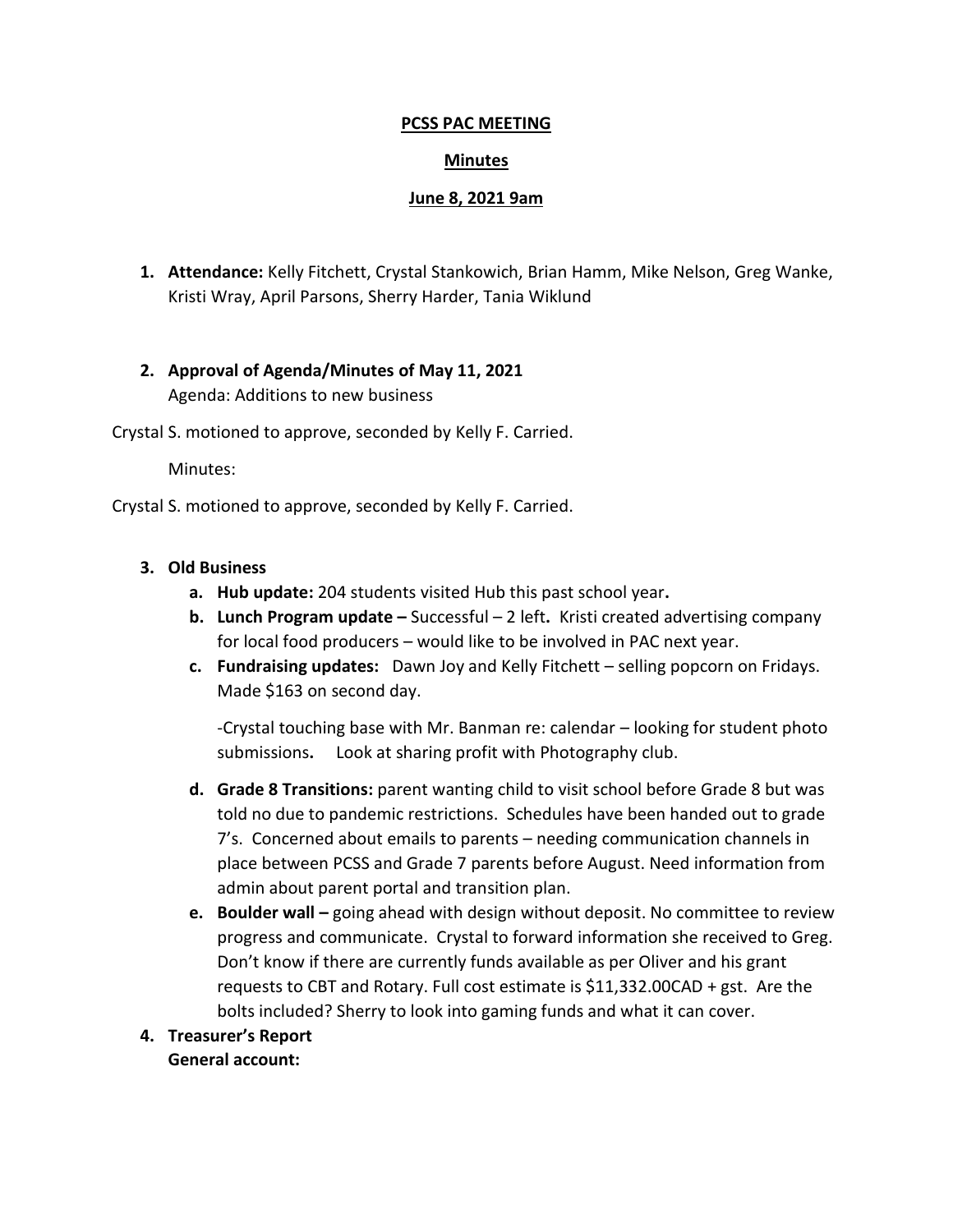## **PCSS PAC MEETING**

## **Minutes**

### **June 8, 2021 9am**

**1. Attendance:** Kelly Fitchett, Crystal Stankowich, Brian Hamm, Mike Nelson, Greg Wanke, Kristi Wray, April Parsons, Sherry Harder, Tania Wiklund

# **2. Approval of Agenda/Minutes of May 11, 2021** Agenda: Additions to new business

Crystal S. motioned to approve, seconded by Kelly F. Carried.

Minutes:

Crystal S. motioned to approve, seconded by Kelly F. Carried.

## **3. Old Business**

- **a. Hub update:** 204 students visited Hub this past school year**.**
- **b. Lunch Program update –** Successful 2 left**.** Kristi created advertising company for local food producers – would like to be involved in PAC next year.
- **c. Fundraising updates:** Dawn Joy and Kelly Fitchett selling popcorn on Fridays. Made \$163 on second day.

-Crystal touching base with Mr. Banman re: calendar – looking for student photo submissions**.** Look at sharing profit with Photography club.

- **d. Grade 8 Transitions:** parent wanting child to visit school before Grade 8 but was told no due to pandemic restrictions. Schedules have been handed out to grade 7's. Concerned about emails to parents – needing communication channels in place between PCSS and Grade 7 parents before August. Need information from admin about parent portal and transition plan.
- **e. Boulder wall –** going ahead with design without deposit. No committee to review progress and communicate. Crystal to forward information she received to Greg. Don't know if there are currently funds available as per Oliver and his grant requests to CBT and Rotary. Full cost estimate is \$11,332.00CAD + gst. Are the bolts included? Sherry to look into gaming funds and what it can cover.
- **4. Treasurer's Report General account:**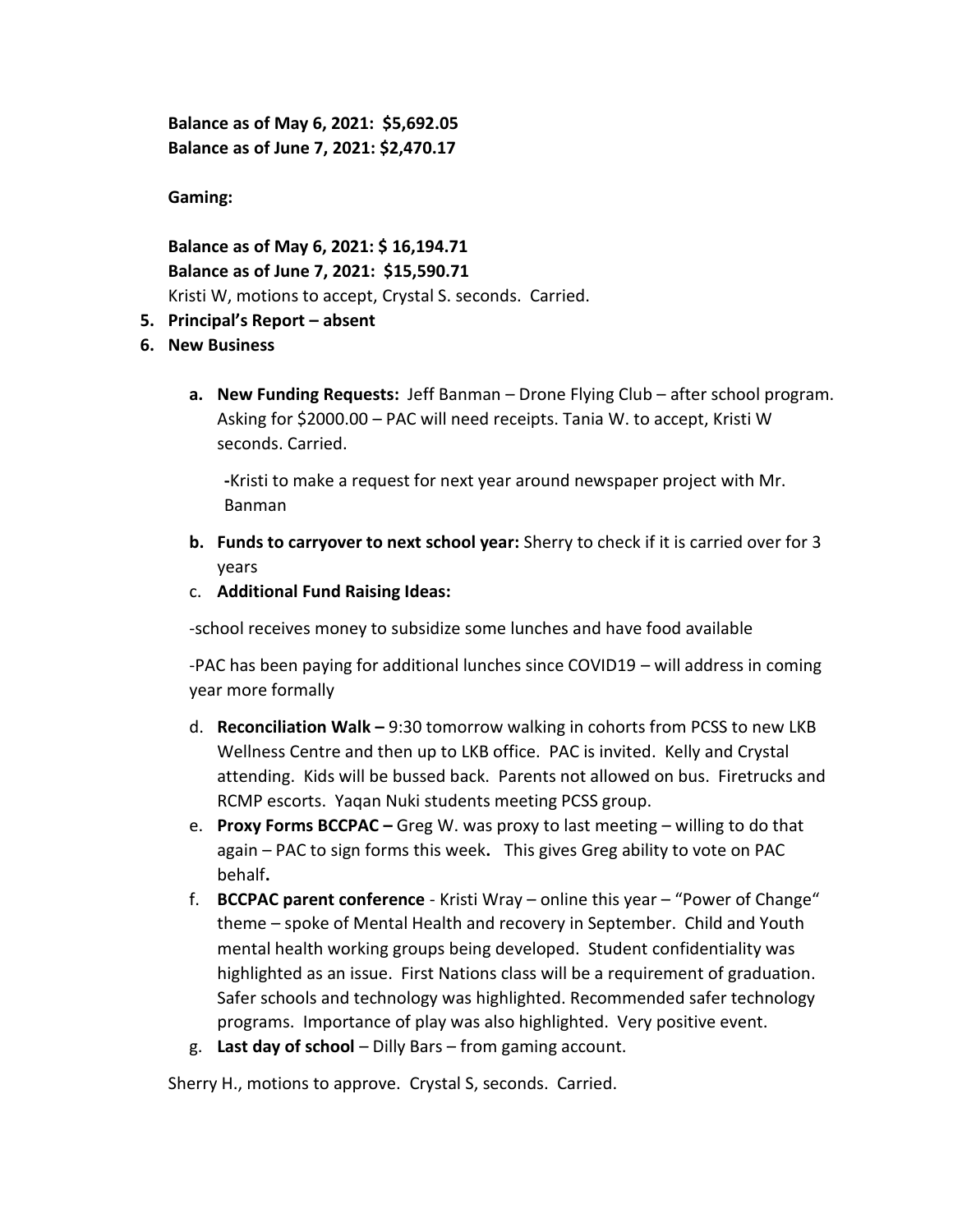**Balance as of May 6, 2021: \$5,692.05 Balance as of June 7, 2021: \$2,470.17**

**Gaming:** 

**Balance as of May 6, 2021: \$ 16,194.71 Balance as of June 7, 2021: \$15,590.71** Kristi W, motions to accept, Crystal S. seconds. Carried.

## **5. Principal's Report – absent**

- **6. New Business** 
	- **a. New Funding Requests:** Jeff Banman Drone Flying Club after school program. Asking for \$2000.00 – PAC will need receipts. Tania W. to accept, Kristi W seconds. Carried.

**-**Kristi to make a request for next year around newspaper project with Mr. Banman

- **b. Funds to carryover to next school year:** Sherry to check if it is carried over for 3 years
- c. **Additional Fund Raising Ideas:**

-school receives money to subsidize some lunches and have food available

-PAC has been paying for additional lunches since COVID19 – will address in coming year more formally

- d. **Reconciliation Walk –** 9:30 tomorrow walking in cohorts from PCSS to new LKB Wellness Centre and then up to LKB office. PAC is invited. Kelly and Crystal attending. Kids will be bussed back. Parents not allowed on bus. Firetrucks and RCMP escorts. Yaqan Nuki students meeting PCSS group.
- e. **Proxy Forms BCCPAC –** Greg W. was proxy to last meeting willing to do that again – PAC to sign forms this week**.** This gives Greg ability to vote on PAC behalf**.**
- f. **BCCPAC parent conference** Kristi Wray online this year "Power of Change" theme – spoke of Mental Health and recovery in September. Child and Youth mental health working groups being developed. Student confidentiality was highlighted as an issue. First Nations class will be a requirement of graduation. Safer schools and technology was highlighted. Recommended safer technology programs. Importance of play was also highlighted. Very positive event.
- g. **Last day of school**  Dilly Bars from gaming account.

Sherry H., motions to approve. Crystal S, seconds. Carried.